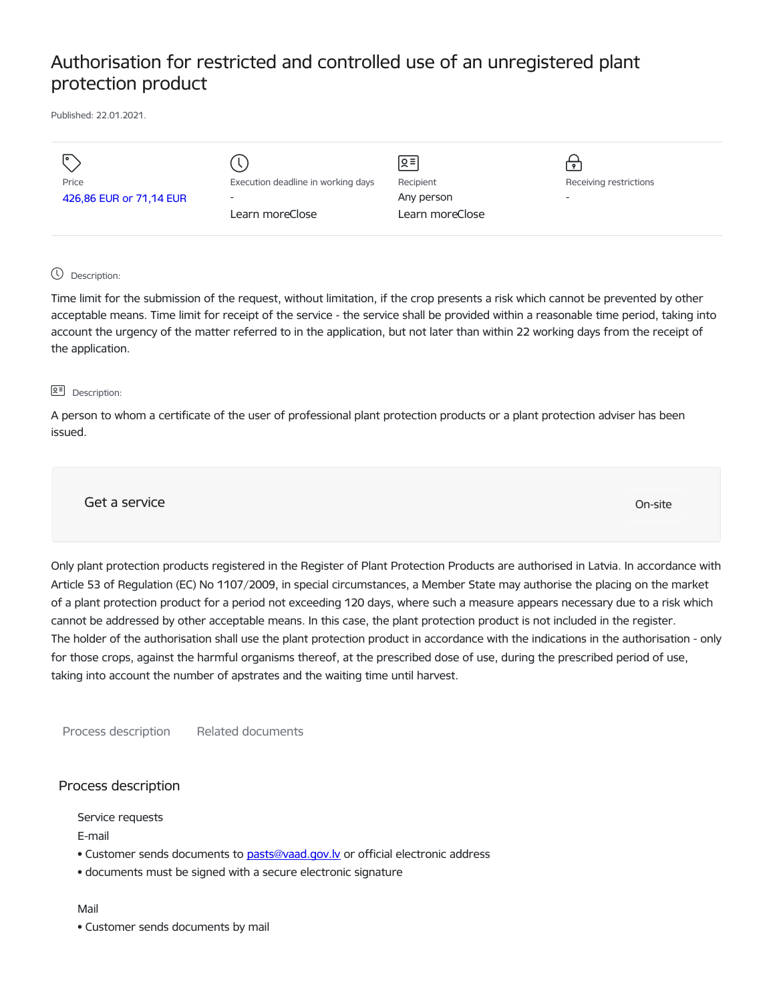# Authorisation for restricted and controlled use of an unregistered plant protection product

Published: 22.01.2021.

| I۰                      |                                    | ୨.≣             | $\bullet$                |
|-------------------------|------------------------------------|-----------------|--------------------------|
| Price                   | Execution deadline in working days | Recipient       | Receiving restrictions   |
| 426,86 EUR or 71,14 EUR | $\overline{\phantom{0}}$           | Any person      | $\overline{\phantom{0}}$ |
|                         | Learn moreClose                    | Learn moreClose |                          |
|                         |                                    |                 |                          |

# Description:

Time limit for the submission of the request, without limitation, if the crop presents a risk which cannot be prevented by other acceptable means. Time limit for receipt of the service - the service shall be provided within a reasonable time period, taking into account the urgency of the matter referred to in the application, but not later than within 22 working days from the receipt of the application.

#### **오** Description:

A person to whom a certificate of the user of professional plant protection products or a plant protection adviser has been issued.

Get a service On-site

Only plant protection products registered in the Register of Plant Protection Products are authorised in Latvia. In accordance with Article 53 of Regulation (EC) No 1107/2009, in special circumstances, a Member State may authorise the placing on the market of a plant protection product for a period not exceeding 120 days, where such a measure appears necessary due to a risk which cannot be addressed by other acceptable means. In this case, the plant protection product is not included in the register. The holder of the authorisation shall use the plant protection product in accordance with the indications in the authorisation - only for those crops, against the harmful organisms thereof, at the prescribed dose of use, during the prescribed period of use, taking into account the number of apstrates and the waiting time until harvest.

Process description Related documents

# Process description

Service requests

E-mail

- Customer sends documents to pasts@vaad.gov.ly or official electronic address
- documents must be signed with a secure electronic signature

Mail

• Customer sends documents by mail